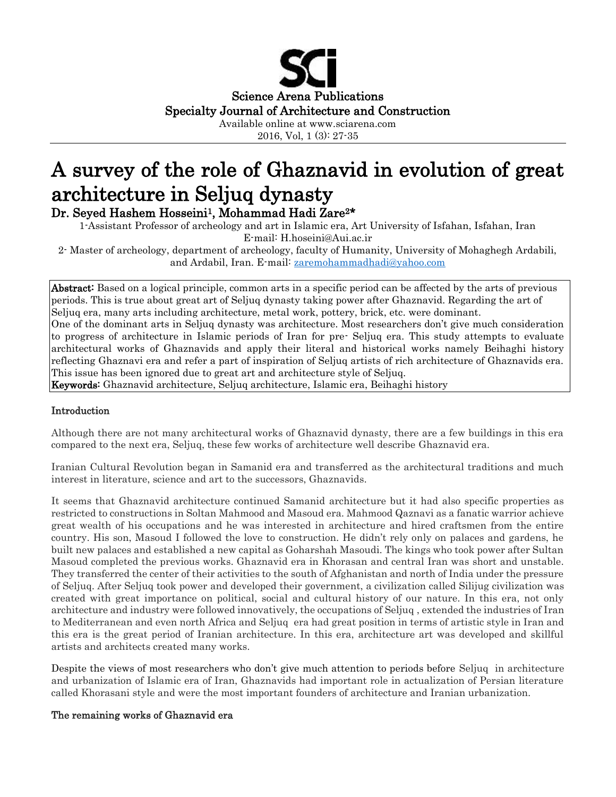

2016, Vol, 1 (3): 27-35

# A survey of the role of Ghaznavid in evolution of great architecture in Seljuq dynasty Dr. Seyed Hashem Hosseini<sup>1</sup>, Mohammad Hadi Zare<sup>2\*</sup>

1-Assistant Professor of archeology and art in Islamic era, Art University of Isfahan, Isfahan, Iran E-mail: H.hoseini@Aui.ac.ir

2- Master of archeology, department of archeology, faculty of Humanity, University of Mohaghegh Ardabili, and Ardabil, Iran. E-mail: [zaremohammadhadi@yahoo.com](mailto:zaremohammadhadi@yahoo.com)

Abstract: Based on a logical principle, common arts in a specific period can be affected by the arts of previous periods. This is true about great art of Seljuq dynasty taking power after Ghaznavid. Regarding the art of Seljuq era, many arts including architecture, metal work, pottery, brick, etc. were dominant. One of the dominant arts in Seljuq dynasty was architecture. Most researchers don't give much consideration to progress of architecture in Islamic periods of Iran for pre- Seljuq era. This study attempts to evaluate architectural works of Ghaznavids and apply their literal and historical works namely Beihaghi history reflecting Ghaznavi era and refer a part of inspiration of Seljuq artists of rich architecture of Ghaznavids era. This issue has been ignored due to great art and architecture style of Seljuq. Keywords: Ghaznavid architecture, Seljuq architecture, Islamic era, Beihaghi history

#### Introduction

Although there are not many architectural works of Ghaznavid dynasty, there are a few buildings in this era compared to the next era, Seljuq, these few works of architecture well describe Ghaznavid era.

Iranian Cultural Revolution began in Samanid era and transferred as the architectural traditions and much interest in literature, science and art to the successors, Ghaznavids.

It seems that Ghaznavid architecture continued Samanid architecture but it had also specific properties as restricted to constructions in Soltan Mahmood and Masoud era. Mahmood Qaznavi as a fanatic warrior achieve great wealth of his occupations and he was interested in architecture and hired craftsmen from the entire country. His son, Masoud I followed the love to construction. He didn't rely only on palaces and gardens, he built new palaces and established a new capital as Goharshah Masoudi. The kings who took power after Sultan Masoud completed the previous works. Ghaznavid era in Khorasan and central Iran was short and unstable. They transferred the center of their activities to the south of Afghanistan and north of India under the pressure of Seljuq. After Seljuq took power and developed their government, a civilization called Silijug civilization was created with great importance on political, social and cultural history of our nature. In this era, not only architecture and industry were followed innovatively, the occupations of Seljuq , extended the industries of Iran to Mediterranean and even north Africa and Seljuq era had great position in terms of artistic style in Iran and this era is the great period of Iranian architecture. In this era, architecture art was developed and skillful artists and architects created many works.

Despite the views of most researchers who don't give much attention to periods before Seljuq in architecture and urbanization of Islamic era of Iran, Ghaznavids had important role in actualization of Persian literature called Khorasani style and were the most important founders of architecture and Iranian urbanization.

#### The remaining works of Ghaznavid era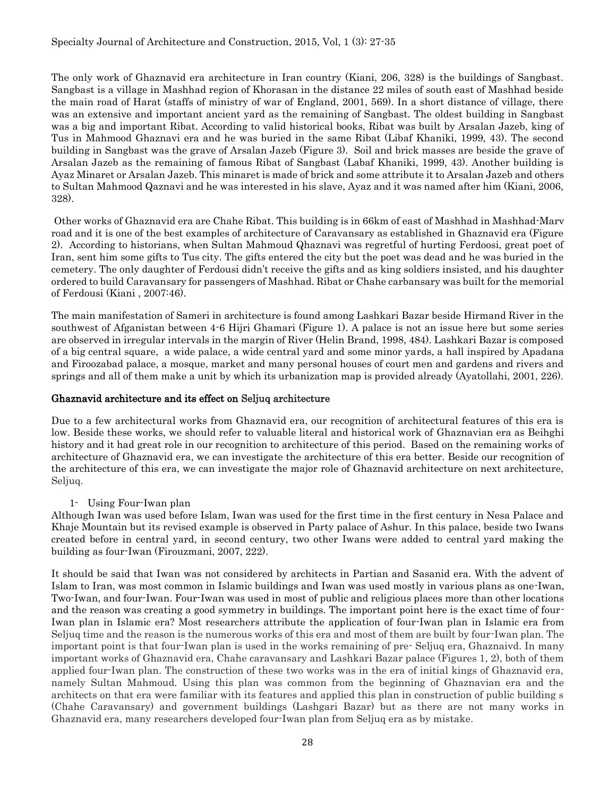The only work of Ghaznavid era architecture in Iran country (Kiani, 206, 328) is the buildings of Sangbast. Sangbast is a village in Mashhad region of Khorasan in the distance 22 miles of south east of Mashhad beside the main road of Harat (staffs of ministry of war of England, 2001, 569). In a short distance of village, there was an extensive and important ancient yard as the remaining of Sangbast. The oldest building in Sangbast was a big and important Ribat. According to valid historical books, Ribat was built by Arsalan Jazeb, king of Tus in Mahmood Ghaznavi era and he was buried in the same Ribat (Libaf Khaniki, 1999, 43). The second building in Sangbast was the grave of Arsalan Jazeb (Figure 3). Soil and brick masses are beside the grave of Arsalan Jazeb as the remaining of famous Ribat of Sangbast (Labaf Khaniki, 1999, 43). Another building is Ayaz Minaret or Arsalan Jazeb. This minaret is made of brick and some attribute it to Arsalan Jazeb and others to Sultan Mahmood Qaznavi and he was interested in his slave, Ayaz and it was named after him (Kiani, 2006, 328).

Other works of Ghaznavid era are Chahe Ribat. This building is in 66km of east of Mashhad in Mashhad-Marv road and it is one of the best examples of architecture of Caravansary as established in Ghaznavid era (Figure 2). According to historians, when Sultan Mahmoud Qhaznavi was regretful of hurting Ferdoosi, great poet of Iran, sent him some gifts to Tus city. The gifts entered the city but the poet was dead and he was buried in the cemetery. The only daughter of Ferdousi didn't receive the gifts and as king soldiers insisted, and his daughter ordered to build Caravansary for passengers of Mashhad. Ribat or Chahe carbansary was built for the memorial of Ferdousi (Kiani , 2007:46).

The main manifestation of Sameri in architecture is found among Lashkari Bazar beside Hirmand River in the southwest of Afganistan between 4-6 Hijri Ghamari (Figure 1). A palace is not an issue here but some series are observed in irregular intervals in the margin of River (Helin Brand, 1998, 484). Lashkari Bazar is composed of a big central square, a wide palace, a wide central yard and some minor yards, a hall inspired by Apadana and Firoozabad palace, a mosque, market and many personal houses of court men and gardens and rivers and springs and all of them make a unit by which its urbanization map is provided already (Ayatollahi, 2001, 226).

### Ghaznavid architecture and its effect on Seljuq architecture

Due to a few architectural works from Ghaznavid era, our recognition of architectural features of this era is low. Beside these works, we should refer to valuable literal and historical work of Ghaznavian era as Beihghi history and it had great role in our recognition to architecture of this period. Based on the remaining works of architecture of Ghaznavid era, we can investigate the architecture of this era better. Beside our recognition of the architecture of this era, we can investigate the major role of Ghaznavid architecture on next architecture, Seljuq.

1- Using Four-Iwan plan

Although Iwan was used before Islam, Iwan was used for the first time in the first century in Nesa Palace and Khaje Mountain but its revised example is observed in Party palace of Ashur. In this palace, beside two Iwans created before in central yard, in second century, two other Iwans were added to central yard making the building as four-Iwan (Firouzmani, 2007, 222).

It should be said that Iwan was not considered by architects in Partian and Sasanid era. With the advent of Islam to Iran, was most common in Islamic buildings and Iwan was used mostly in various plans as one-Iwan, Two-Iwan, and four-Iwan. Four-Iwan was used in most of public and religious places more than other locations and the reason was creating a good symmetry in buildings. The important point here is the exact time of four-Iwan plan in Islamic era? Most researchers attribute the application of four-Iwan plan in Islamic era from Seljuq time and the reason is the numerous works of this era and most of them are built by four-Iwan plan. The important point is that four-Iwan plan is used in the works remaining of pre- Seljuq era, Ghaznaivd. In many important works of Ghaznavid era, Chahe caravansary and Lashkari Bazar palace (Figures 1, 2), both of them applied four-Iwan plan. The construction of these two works was in the era of initial kings of Ghaznavid era, namely Sultan Mahmoud. Using this plan was common from the beginning of Ghaznavian era and the architects on that era were familiar with its features and applied this plan in construction of public building s (Chahe Caravansary) and government buildings (Lashgari Bazar) but as there are not many works in Ghaznavid era, many researchers developed four-Iwan plan from Seljuq era as by mistake.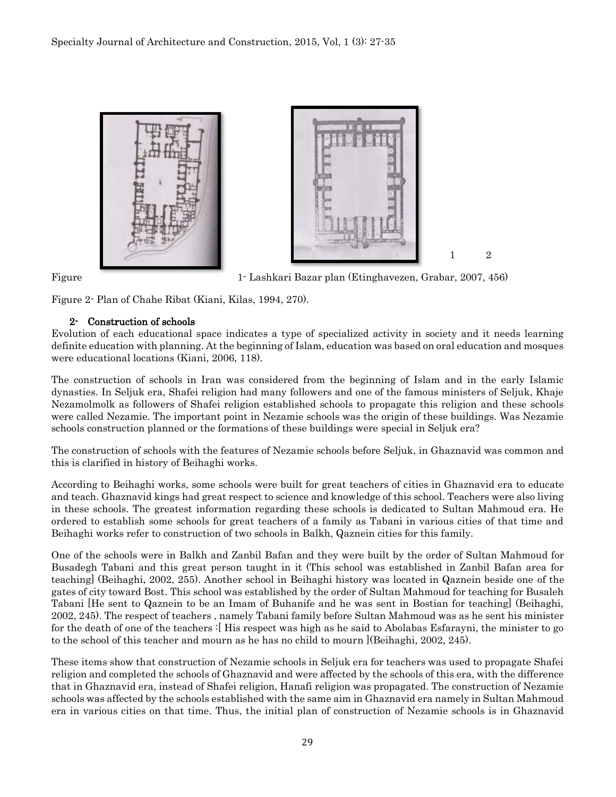

Figure 1- Lashkari Bazar plan (Etinghavezen, Grabar, 2007, 456)

Figure 2- Plan of Chahe Ribat (Kiani, Kilas, 1994, 270).

#### 2- Construction of schools

Evolution of each educational space indicates a type of specialized activity in society and it needs learning definite education with planning. At the beginning of Islam, education was based on oral education and mosques were educational locations (Kiani, 2006, 118).

The construction of schools in Iran was considered from the beginning of Islam and in the early Islamic dynasties. In Seljuk era, Shafei religion had many followers and one of the famous ministers of Seljuk, Khaje Nezamolmolk as followers of Shafei religion established schools to propagate this religion and these schools were called Nezamie. The important point in Nezamie schools was the origin of these buildings. Was Nezamie schools construction planned or the formations of these buildings were special in Seljuk era?

The construction of schools with the features of Nezamie schools before Seljuk, in Ghaznavid was common and this is clarified in history of Beihaghi works.

According to Beihaghi works, some schools were built for great teachers of cities in Ghaznavid era to educate and teach. Ghaznavid kings had great respect to science and knowledge of this school. Teachers were also living in these schools. The greatest information regarding these schools is dedicated to Sultan Mahmoud era. He ordered to establish some schools for great teachers of a family as Tabani in various cities of that time and Beihaghi works refer to construction of two schools in Balkh, Qaznein cities for this family.

One of the schools were in Balkh and Zanbil Bafan and they were built by the order of Sultan Mahmoud for Busadegh Tabani and this great person taught in it (This school was established in Zanbil Bafan area for teaching] (Beihaghi, 2002, 255). Another school in Beihaghi history was located in Qaznein beside one of the gates of city toward Bost. This school was established by the order of Sultan Mahmoud for teaching for Busaleh Tabani [He sent to Qaznein to be an Imam of Buhanife and he was sent in Bostian for teaching] (Beihaghi, 2002, 245). The respect of teachers , namely Tabani family before Sultan Mahmoud was as he sent his minister for the death of one of the teachers :[ His respect was high as he said to Abolabas Esfarayni, the minister to go to the school of this teacher and mourn as he has no child to mourn ](Beihaghi, 2002, 245).

These items show that construction of Nezamie schools in Seljuk era for teachers was used to propagate Shafei religion and completed the schools of Ghaznavid and were affected by the schools of this era, with the difference that in Ghaznavid era, instead of Shafei religion, Hanafi religion was propagated. The construction of Nezamie schools was affected by the schools established with the same aim in Ghaznavid era namely in Sultan Mahmoud era in various cities on that time. Thus, the initial plan of construction of Nezamie schools is in Ghaznavid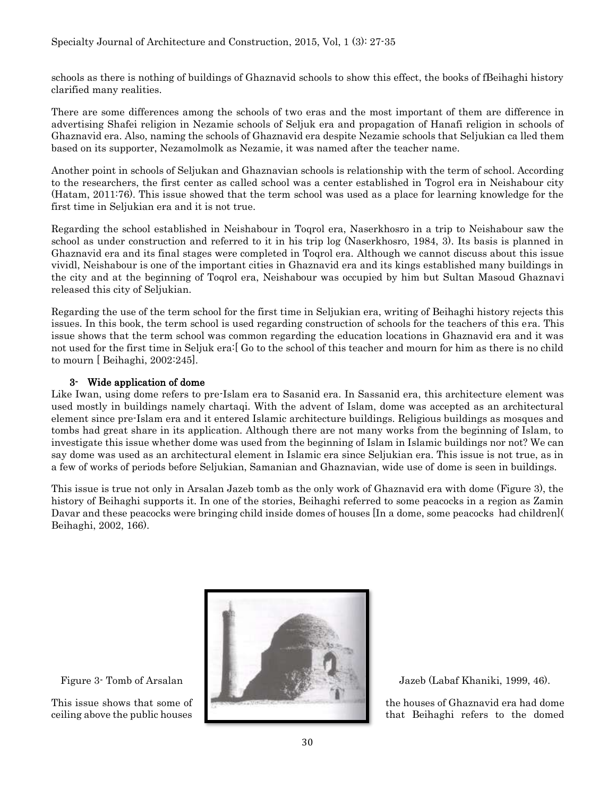schools as there is nothing of buildings of Ghaznavid schools to show this effect, the books of fBeihaghi history clarified many realities.

There are some differences among the schools of two eras and the most important of them are difference in advertising Shafei religion in Nezamie schools of Seljuk era and propagation of Hanafi religion in schools of Ghaznavid era. Also, naming the schools of Ghaznavid era despite Nezamie schools that Seljukian ca lled them based on its supporter, Nezamolmolk as Nezamie, it was named after the teacher name.

Another point in schools of Seljukan and Ghaznavian schools is relationship with the term of school. According to the researchers, the first center as called school was a center established in Togrol era in Neishabour city (Hatam, 2011:76). This issue showed that the term school was used as a place for learning knowledge for the first time in Seljukian era and it is not true.

Regarding the school established in Neishabour in Toqrol era, Naserkhosro in a trip to Neishabour saw the school as under construction and referred to it in his trip log (Naserkhosro, 1984, 3). Its basis is planned in Ghaznavid era and its final stages were completed in Toqrol era. Although we cannot discuss about this issue vividl, Neishabour is one of the important cities in Ghaznavid era and its kings established many buildings in the city and at the beginning of Toqrol era, Neishabour was occupied by him but Sultan Masoud Ghaznavi released this city of Seljukian.

Regarding the use of the term school for the first time in Seljukian era, writing of Beihaghi history rejects this issues. In this book, the term school is used regarding construction of schools for the teachers of this era. This issue shows that the term school was common regarding the education locations in Ghaznavid era and it was not used for the first time in Seljuk era:[ Go to the school of this teacher and mourn for him as there is no child to mourn [ Beihaghi, 2002:245].

#### 3- Wide application of dome

Like Iwan, using dome refers to pre-Islam era to Sasanid era. In Sassanid era, this architecture element was used mostly in buildings namely chartaqi. With the advent of Islam, dome was accepted as an architectural element since pre-Islam era and it entered Islamic architecture buildings. Religious buildings as mosques and tombs had great share in its application. Although there are not many works from the beginning of Islam, to investigate this issue whether dome was used from the beginning of Islam in Islamic buildings nor not? We can say dome was used as an architectural element in Islamic era since Seljukian era. This issue is not true, as in a few of works of periods before Seljukian, Samanian and Ghaznavian, wide use of dome is seen in buildings.

This issue is true not only in Arsalan Jazeb tomb as the only work of Ghaznavid era with dome (Figure 3), the history of Beihaghi supports it. In one of the stories, Beihaghi referred to some peacocks in a region as Zamin Davar and these peacocks were bringing child inside domes of houses [In a dome, some peacocks had children]( Beihaghi, 2002, 166).



This issue shows that some of the houses of Ghaznavid era had dome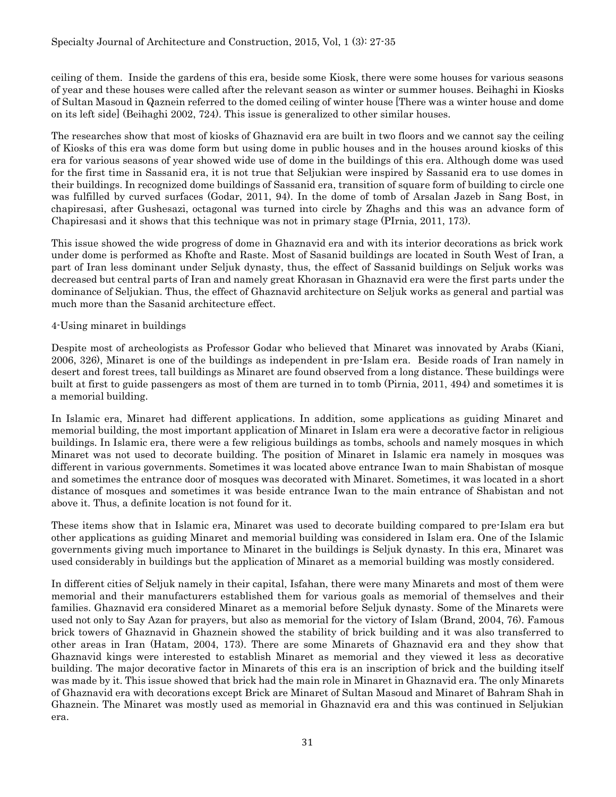ceiling of them. Inside the gardens of this era, beside some Kiosk, there were some houses for various seasons of year and these houses were called after the relevant season as winter or summer houses. Beihaghi in Kiosks of Sultan Masoud in Qaznein referred to the domed ceiling of winter house [There was a winter house and dome on its left side] (Beihaghi 2002, 724). This issue is generalized to other similar houses.

The researches show that most of kiosks of Ghaznavid era are built in two floors and we cannot say the ceiling of Kiosks of this era was dome form but using dome in public houses and in the houses around kiosks of this era for various seasons of year showed wide use of dome in the buildings of this era. Although dome was used for the first time in Sassanid era, it is not true that Seljukian were inspired by Sassanid era to use domes in their buildings. In recognized dome buildings of Sassanid era, transition of square form of building to circle one was fulfilled by curved surfaces (Godar, 2011, 94). In the dome of tomb of Arsalan Jazeb in Sang Bost, in chapiresasi, after Gushesazi, octagonal was turned into circle by Zhaghs and this was an advance form of Chapiresasi and it shows that this technique was not in primary stage (PIrnia, 2011, 173).

This issue showed the wide progress of dome in Ghaznavid era and with its interior decorations as brick work under dome is performed as Khofte and Raste. Most of Sasanid buildings are located in South West of Iran, a part of Iran less dominant under Seljuk dynasty, thus, the effect of Sassanid buildings on Seljuk works was decreased but central parts of Iran and namely great Khorasan in Ghaznavid era were the first parts under the dominance of Seljukian. Thus, the effect of Ghaznavid architecture on Seljuk works as general and partial was much more than the Sasanid architecture effect.

#### 4-Using minaret in buildings

Despite most of archeologists as Professor Godar who believed that Minaret was innovated by Arabs (Kiani, 2006, 326), Minaret is one of the buildings as independent in pre-Islam era. Beside roads of Iran namely in desert and forest trees, tall buildings as Minaret are found observed from a long distance. These buildings were built at first to guide passengers as most of them are turned in to tomb (Pirnia, 2011, 494) and sometimes it is a memorial building.

In Islamic era, Minaret had different applications. In addition, some applications as guiding Minaret and memorial building, the most important application of Minaret in Islam era were a decorative factor in religious buildings. In Islamic era, there were a few religious buildings as tombs, schools and namely mosques in which Minaret was not used to decorate building. The position of Minaret in Islamic era namely in mosques was different in various governments. Sometimes it was located above entrance Iwan to main Shabistan of mosque and sometimes the entrance door of mosques was decorated with Minaret. Sometimes, it was located in a short distance of mosques and sometimes it was beside entrance Iwan to the main entrance of Shabistan and not above it. Thus, a definite location is not found for it.

These items show that in Islamic era, Minaret was used to decorate building compared to pre-Islam era but other applications as guiding Minaret and memorial building was considered in Islam era. One of the Islamic governments giving much importance to Minaret in the buildings is Seljuk dynasty. In this era, Minaret was used considerably in buildings but the application of Minaret as a memorial building was mostly considered.

In different cities of Seljuk namely in their capital, Isfahan, there were many Minarets and most of them were memorial and their manufacturers established them for various goals as memorial of themselves and their families. Ghaznavid era considered Minaret as a memorial before Seljuk dynasty. Some of the Minarets were used not only to Say Azan for prayers, but also as memorial for the victory of Islam (Brand, 2004, 76). Famous brick towers of Ghaznavid in Ghaznein showed the stability of brick building and it was also transferred to other areas in Iran (Hatam, 2004, 173). There are some Minarets of Ghaznavid era and they show that Ghaznavid kings were interested to establish Minaret as memorial and they viewed it less as decorative building. The major decorative factor in Minarets of this era is an inscription of brick and the building itself was made by it. This issue showed that brick had the main role in Minaret in Ghaznavid era. The only Minarets of Ghaznavid era with decorations except Brick are Minaret of Sultan Masoud and Minaret of Bahram Shah in Ghaznein. The Minaret was mostly used as memorial in Ghaznavid era and this was continued in Seljukian era.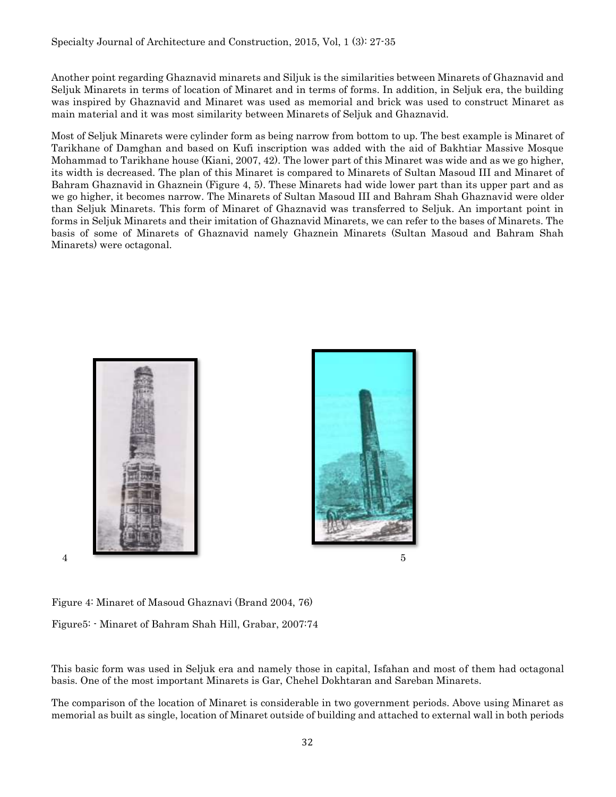Another point regarding Ghaznavid minarets and Siljuk is the similarities between Minarets of Ghaznavid and Seljuk Minarets in terms of location of Minaret and in terms of forms. In addition, in Seljuk era, the building was inspired by Ghaznavid and Minaret was used as memorial and brick was used to construct Minaret as main material and it was most similarity between Minarets of Seljuk and Ghaznavid.

Most of Seljuk Minarets were cylinder form as being narrow from bottom to up. The best example is Minaret of Tarikhane of Damghan and based on Kufi inscription was added with the aid of Bakhtiar Massive Mosque Mohammad to Tarikhane house (Kiani, 2007, 42). The lower part of this Minaret was wide and as we go higher, its width is decreased. The plan of this Minaret is compared to Minarets of Sultan Masoud III and Minaret of Bahram Ghaznavid in Ghaznein (Figure 4, 5). These Minarets had wide lower part than its upper part and as we go higher, it becomes narrow. The Minarets of Sultan Masoud III and Bahram Shah Ghaznavid were older than Seljuk Minarets. This form of Minaret of Ghaznavid was transferred to Seljuk. An important point in forms in Seljuk Minarets and their imitation of Ghaznavid Minarets, we can refer to the bases of Minarets. The basis of some of Minarets of Ghaznavid namely Ghaznein Minarets (Sultan Masoud and Bahram Shah Minarets) were octagonal.



Figure 4: Minaret of Masoud Ghaznavi (Brand 2004, 76)

Figure5: - Minaret of Bahram Shah Hill, Grabar, 2007:74

This basic form was used in Seljuk era and namely those in capital, Isfahan and most of them had octagonal basis. One of the most important Minarets is Gar, Chehel Dokhtaran and Sareban Minarets.

The comparison of the location of Minaret is considerable in two government periods. Above using Minaret as memorial as built as single, location of Minaret outside of building and attached to external wall in both periods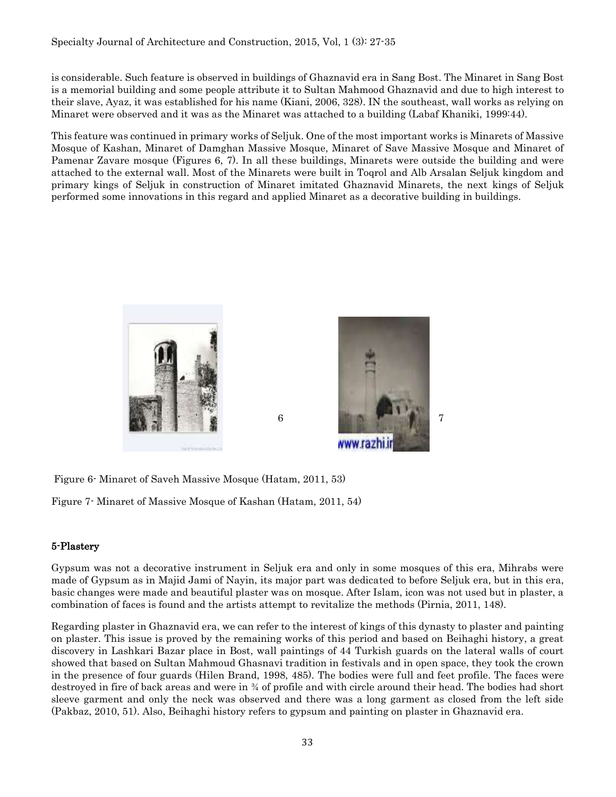is considerable. Such feature is observed in buildings of Ghaznavid era in Sang Bost. The Minaret in Sang Bost is a memorial building and some people attribute it to Sultan Mahmood Ghaznavid and due to high interest to their slave, Ayaz, it was established for his name (Kiani, 2006, 328). IN the southeast, wall works as relying on Minaret were observed and it was as the Minaret was attached to a building (Labaf Khaniki, 1999:44).

This feature was continued in primary works of Seljuk. One of the most important works is Minarets of Massive Mosque of Kashan, Minaret of Damghan Massive Mosque, Minaret of Save Massive Mosque and Minaret of Pamenar Zavare mosque (Figures 6, 7). In all these buildings, Minarets were outside the building and were attached to the external wall. Most of the Minarets were built in Toqrol and Alb Arsalan Seljuk kingdom and primary kings of Seljuk in construction of Minaret imitated Ghaznavid Minarets, the next kings of Seljuk performed some innovations in this regard and applied Minaret as a decorative building in buildings.





Figure 6- Minaret of Saveh Massive Mosque (Hatam, 2011, 53)

Figure 7- Minaret of Massive Mosque of Kashan (Hatam, 2011, 54)

# 5-Plastery

Gypsum was not a decorative instrument in Seljuk era and only in some mosques of this era, Mihrabs were made of Gypsum as in Majid Jami of Nayin, its major part was dedicated to before Seljuk era, but in this era, basic changes were made and beautiful plaster was on mosque. After Islam, icon was not used but in plaster, a combination of faces is found and the artists attempt to revitalize the methods (Pirnia, 2011, 148).

Regarding plaster in Ghaznavid era, we can refer to the interest of kings of this dynasty to plaster and painting on plaster. This issue is proved by the remaining works of this period and based on Beihaghi history, a great discovery in Lashkari Bazar place in Bost, wall paintings of 44 Turkish guards on the lateral walls of court showed that based on Sultan Mahmoud Ghasnavi tradition in festivals and in open space, they took the crown in the presence of four guards (Hilen Brand, 1998, 485). The bodies were full and feet profile. The faces were destroyed in fire of back areas and were in ¾ of profile and with circle around their head. The bodies had short sleeve garment and only the neck was observed and there was a long garment as closed from the left side (Pakbaz, 2010, 51). Also, Beihaghi history refers to gypsum and painting on plaster in Ghaznavid era.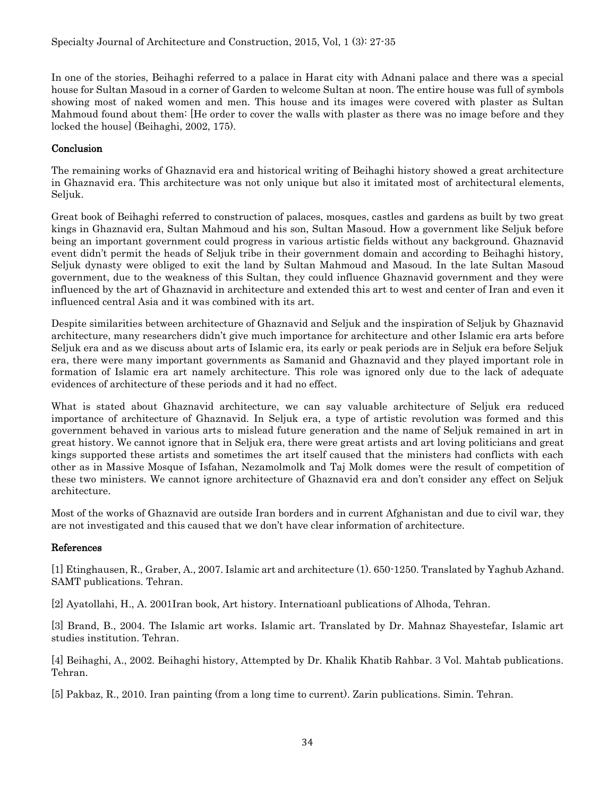In one of the stories, Beihaghi referred to a palace in Harat city with Adnani palace and there was a special house for Sultan Masoud in a corner of Garden to welcome Sultan at noon. The entire house was full of symbols showing most of naked women and men. This house and its images were covered with plaster as Sultan Mahmoud found about them: [He order to cover the walls with plaster as there was no image before and they locked the house] (Beihaghi, 2002, 175).

# **Conclusion**

The remaining works of Ghaznavid era and historical writing of Beihaghi history showed a great architecture in Ghaznavid era. This architecture was not only unique but also it imitated most of architectural elements, Seljuk.

Great book of Beihaghi referred to construction of palaces, mosques, castles and gardens as built by two great kings in Ghaznavid era, Sultan Mahmoud and his son, Sultan Masoud. How a government like Seljuk before being an important government could progress in various artistic fields without any background. Ghaznavid event didn't permit the heads of Seljuk tribe in their government domain and according to Beihaghi history, Seljuk dynasty were obliged to exit the land by Sultan Mahmoud and Masoud. In the late Sultan Masoud government, due to the weakness of this Sultan, they could influence Ghaznavid government and they were influenced by the art of Ghaznavid in architecture and extended this art to west and center of Iran and even it influenced central Asia and it was combined with its art.

Despite similarities between architecture of Ghaznavid and Seljuk and the inspiration of Seljuk by Ghaznavid architecture, many researchers didn't give much importance for architecture and other Islamic era arts before Seljuk era and as we discuss about arts of Islamic era, its early or peak periods are in Seljuk era before Seljuk era, there were many important governments as Samanid and Ghaznavid and they played important role in formation of Islamic era art namely architecture. This role was ignored only due to the lack of adequate evidences of architecture of these periods and it had no effect.

What is stated about Ghaznavid architecture, we can say valuable architecture of Seljuk era reduced importance of architecture of Ghaznavid. In Seljuk era, a type of artistic revolution was formed and this government behaved in various arts to mislead future generation and the name of Seljuk remained in art in great history. We cannot ignore that in Seljuk era, there were great artists and art loving politicians and great kings supported these artists and sometimes the art itself caused that the ministers had conflicts with each other as in Massive Mosque of Isfahan, Nezamolmolk and Taj Molk domes were the result of competition of these two ministers. We cannot ignore architecture of Ghaznavid era and don't consider any effect on Seljuk architecture.

Most of the works of Ghaznavid are outside Iran borders and in current Afghanistan and due to civil war, they are not investigated and this caused that we don't have clear information of architecture.

# References

[1] Etinghausen, R., Graber, A., 2007. Islamic art and architecture (1). 650-1250. Translated by Yaghub Azhand. SAMT publications. Tehran.

[2] Ayatollahi, H., A. 2001Iran book, Art history. Internatioanl publications of Alhoda, Tehran.

[3] Brand, B., 2004. The Islamic art works. Islamic art. Translated by Dr. Mahnaz Shayestefar, Islamic art studies institution. Tehran.

[4] Beihaghi, A., 2002. Beihaghi history, Attempted by Dr. Khalik Khatib Rahbar. 3 Vol. Mahtab publications. Tehran.

[5] Pakbaz, R., 2010. Iran painting (from a long time to current). Zarin publications. Simin. Tehran.